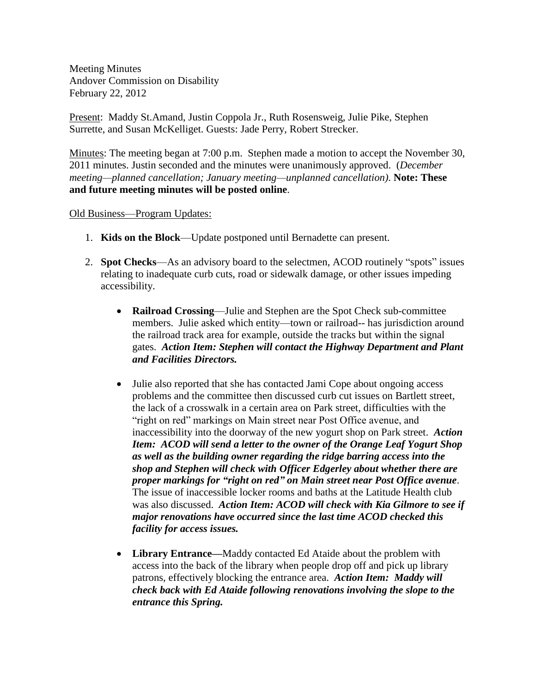Meeting Minutes Andover Commission on Disability February 22, 2012

Present: Maddy St.Amand, Justin Coppola Jr., Ruth Rosensweig, Julie Pike, Stephen Surrette, and Susan McKelliget. Guests: Jade Perry, Robert Strecker.

Minutes: The meeting began at 7:00 p.m. Stephen made a motion to accept the November 30, 2011 minutes. Justin seconded and the minutes were unanimously approved. (*December meeting—planned cancellation; January meeting—unplanned cancellation)*. **Note: These and future meeting minutes will be posted online**.

## Old Business—Program Updates:

- 1. **Kids on the Block**—Update postponed until Bernadette can present.
- 2. **Spot Checks**—As an advisory board to the selectmen, ACOD routinely "spots" issues relating to inadequate curb cuts, road or sidewalk damage, or other issues impeding accessibility.
	- **Railroad Crossing**—Julie and Stephen are the Spot Check sub-committee members. Julie asked which entity—town or railroad-- has jurisdiction around the railroad track area for example, outside the tracks but within the signal gates. *Action Item: Stephen will contact the Highway Department and Plant and Facilities Directors.*
	- Julie also reported that she has contacted Jami Cope about ongoing access problems and the committee then discussed curb cut issues on Bartlett street, the lack of a crosswalk in a certain area on Park street, difficulties with the "right on red" markings on Main street near Post Office avenue, and inaccessibility into the doorway of the new yogurt shop on Park street. *Action Item: ACOD will send a letter to the owner of the Orange Leaf Yogurt Shop as well as the building owner regarding the ridge barring access into the shop and Stephen will check with Officer Edgerley about whether there are proper markings for "right on red" on Main street near Post Office avenue*. The issue of inaccessible locker rooms and baths at the Latitude Health club was also discussed. *Action Item: ACOD will check with Kia Gilmore to see if major renovations have occurred since the last time ACOD checked this facility for access issues.*
	- **Library Entrance—**Maddy contacted Ed Ataide about the problem with access into the back of the library when people drop off and pick up library patrons, effectively blocking the entrance area. *Action Item: Maddy will check back with Ed Ataide following renovations involving the slope to the entrance this Spring.*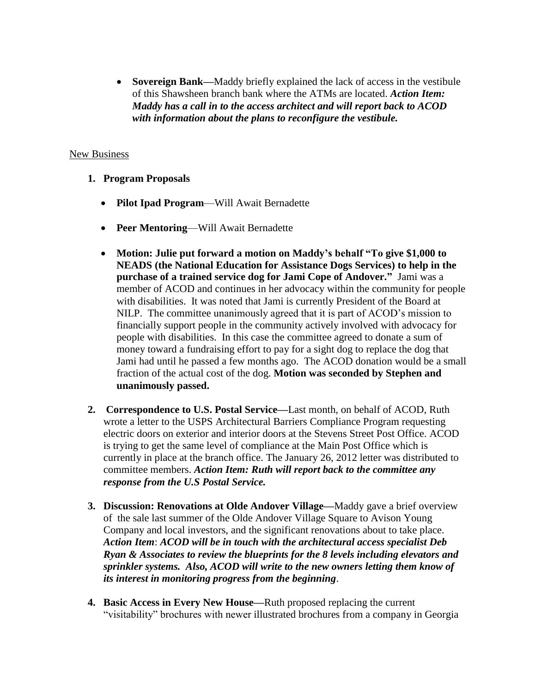**Sovereign Bank—**Maddy briefly explained the lack of access in the vestibule of this Shawsheen branch bank where the ATMs are located. *Action Item: Maddy has a call in to the access architect and will report back to ACOD with information about the plans to reconfigure the vestibule.*

## New Business

- **1. Program Proposals**
	- **Pilot Ipad Program**—Will Await Bernadette
	- **Peer Mentoring**—Will Await Bernadette
	- **Motion: Julie put forward a motion on Maddy's behalf "To give \$1,000 to NEADS (the National Education for Assistance Dogs Services) to help in the purchase of a trained service dog for Jami Cope of Andover."** Jami was a member of ACOD and continues in her advocacy within the community for people with disabilities. It was noted that Jami is currently President of the Board at NILP. The committee unanimously agreed that it is part of ACOD's mission to financially support people in the community actively involved with advocacy for people with disabilities. In this case the committee agreed to donate a sum of money toward a fundraising effort to pay for a sight dog to replace the dog that Jami had until he passed a few months ago. The ACOD donation would be a small fraction of the actual cost of the dog. **Motion was seconded by Stephen and unanimously passed.**
- **2. Correspondence to U.S. Postal Service—**Last month, on behalf of ACOD, Ruth wrote a letter to the USPS Architectural Barriers Compliance Program requesting electric doors on exterior and interior doors at the Stevens Street Post Office. ACOD is trying to get the same level of compliance at the Main Post Office which is currently in place at the branch office. The January 26, 2012 letter was distributed to committee members. *Action Item: Ruth will report back to the committee any response from the U.S Postal Service.*
- **3. Discussion: Renovations at Olde Andover Village—**Maddy gave a brief overview of the sale last summer of the Olde Andover Village Square to Avison Young Company and local investors, and the significant renovations about to take place. *Action Item*: *ACOD will be in touch with the architectural access specialist Deb Ryan & Associates to review the blueprints for the 8 levels including elevators and sprinkler systems. Also, ACOD will write to the new owners letting them know of its interest in monitoring progress from the beginning*.
- **4. Basic Access in Every New House—**Ruth proposed replacing the current "visitability" brochures with newer illustrated brochures from a company in Georgia